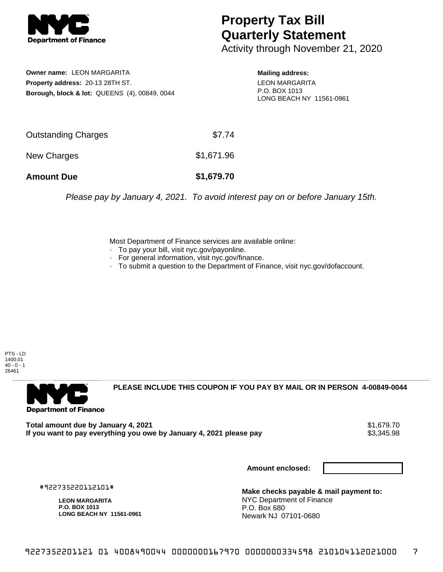

## **Property Tax Bill Quarterly Statement**

Activity through November 21, 2020

**Owner name:** LEON MARGARITA **Property address:** 20-13 28TH ST. **Borough, block & lot:** QUEENS (4), 00849, 0044 **Mailing address:** LEON MARGARITA P.O. BOX 1013 LONG BEACH NY 11561-0961

| <b>Amount Due</b>   | \$1,679.70 |
|---------------------|------------|
| New Charges         | \$1,671.96 |
| Outstanding Charges | \$7.74     |

Please pay by January 4, 2021. To avoid interest pay on or before January 15th.

Most Department of Finance services are available online:

- · To pay your bill, visit nyc.gov/payonline.
- For general information, visit nyc.gov/finance.
- · To submit a question to the Department of Finance, visit nyc.gov/dofaccount.

PTS - LD 1400.01  $40 - 0 - 1$ 26461



**PLEASE INCLUDE THIS COUPON IF YOU PAY BY MAIL OR IN PERSON 4-00849-0044** 

Total amount due by January 4, 2021<br>If you want to pay everything you owe by January 4, 2021 please pay **ship and the same of the set of the s**3,345.98 If you want to pay everything you owe by January 4, 2021 please pay

**Amount enclosed:**

#922735220112101#

**LEON MARGARITA P.O. BOX 1013 LONG BEACH NY 11561-0961**

**Make checks payable & mail payment to:** NYC Department of Finance P.O. Box 680 Newark NJ 07101-0680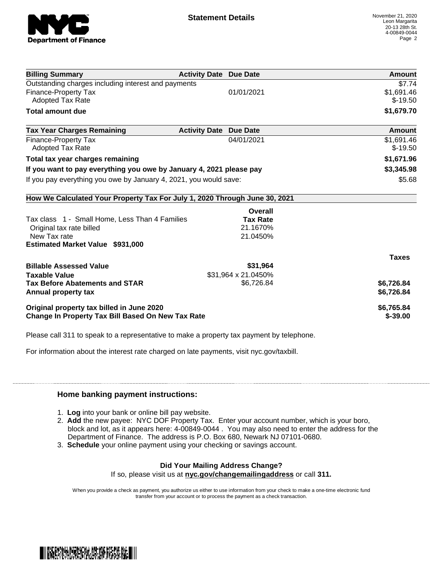

| <b>Billing Summary</b>                                                     | <b>Activity Date Due Date</b>           | Amount       |
|----------------------------------------------------------------------------|-----------------------------------------|--------------|
| Outstanding charges including interest and payments                        |                                         | \$7.74       |
| Finance-Property Tax                                                       | 01/01/2021                              | \$1,691.46   |
| <b>Adopted Tax Rate</b>                                                    |                                         | $$-19.50$    |
| <b>Total amount due</b>                                                    |                                         | \$1,679.70   |
| <b>Tax Year Charges Remaining</b>                                          | <b>Activity Date</b><br><b>Due Date</b> | Amount       |
| Finance-Property Tax                                                       | 04/01/2021                              | \$1,691.46   |
| Adopted Tax Rate                                                           |                                         | $$-19.50$    |
| Total tax year charges remaining                                           |                                         | \$1,671.96   |
| If you want to pay everything you owe by January 4, 2021 please pay        |                                         | \$3,345.98   |
| If you pay everything you owe by January 4, 2021, you would save:          |                                         | \$5.68       |
| How We Calculated Your Property Tax For July 1, 2020 Through June 30, 2021 |                                         |              |
|                                                                            | Overall                                 |              |
| Tax class 1 - Small Home, Less Than 4 Families                             | <b>Tax Rate</b>                         |              |
| Original tax rate billed                                                   | 21.1670%                                |              |
| New Tax rate                                                               | 21.0450%                                |              |
| <b>Estimated Market Value \$931,000</b>                                    |                                         |              |
|                                                                            |                                         | <b>Taxes</b> |
| <b>Billable Assessed Value</b>                                             | \$31,964                                |              |
| <b>Taxable Value</b>                                                       | \$31,964 x 21.0450%                     |              |
| <b>Tax Before Abatements and STAR</b>                                      | \$6,726.84                              | \$6,726.84   |
| Annual property tax                                                        |                                         | \$6,726.84   |
| Original property tax billed in June 2020                                  |                                         | \$6,765.84   |
| <b>Change In Property Tax Bill Based On New Tax Rate</b>                   |                                         | $$ -39.00$   |

Please call 311 to speak to a representative to make a property tax payment by telephone.

For information about the interest rate charged on late payments, visit nyc.gov/taxbill.

## **Home banking payment instructions:**

- 1. **Log** into your bank or online bill pay website.
- 2. **Add** the new payee: NYC DOF Property Tax. Enter your account number, which is your boro, block and lot, as it appears here: 4-00849-0044 . You may also need to enter the address for the Department of Finance. The address is P.O. Box 680, Newark NJ 07101-0680.
- 3. **Schedule** your online payment using your checking or savings account.

## **Did Your Mailing Address Change?**

If so, please visit us at **nyc.gov/changemailingaddress** or call **311.**

When you provide a check as payment, you authorize us either to use information from your check to make a one-time electronic fund transfer from your account or to process the payment as a check transaction.